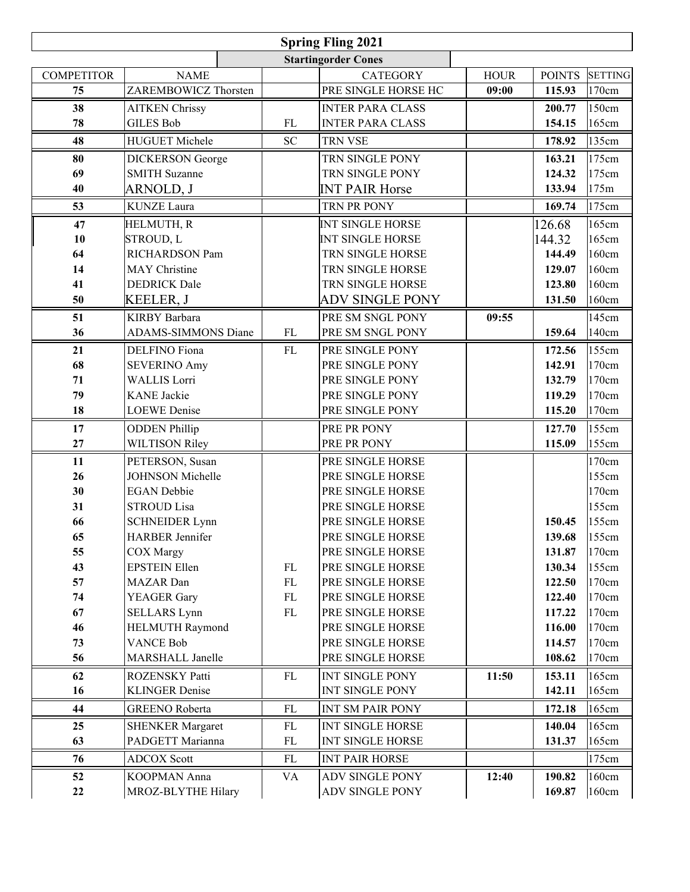| <b>Spring Fling 2021</b>   |                            |           |                         |             |               |                |  |  |
|----------------------------|----------------------------|-----------|-------------------------|-------------|---------------|----------------|--|--|
| <b>Startingorder Cones</b> |                            |           |                         |             |               |                |  |  |
| <b>COMPETITOR</b>          | <b>NAME</b>                |           | <b>CATEGORY</b>         | <b>HOUR</b> | <b>POINTS</b> | <b>SETTING</b> |  |  |
| 75                         | ZAREMBOWICZ Thorsten       |           | PRE SINGLE HORSE HC     | 09:00       | 115.93        | 170cm          |  |  |
| 38                         | <b>AITKEN Chrissy</b>      |           | <b>INTER PARA CLASS</b> |             | 200.77        | 150cm          |  |  |
| 78                         | <b>GILES Bob</b>           | FL        | <b>INTER PARA CLASS</b> |             | 154.15        | 165cm          |  |  |
| 48                         | <b>HUGUET Michele</b>      | <b>SC</b> | <b>TRN VSE</b>          |             | 178.92        | 135cm          |  |  |
| 80                         | <b>DICKERSON</b> George    |           | TRN SINGLE PONY         |             | 163.21        | 175cm          |  |  |
| 69                         | <b>SMITH Suzanne</b>       |           | TRN SINGLE PONY         |             | 124.32        | 175cm          |  |  |
| 40                         | <b>ARNOLD, J</b>           |           | <b>INT PAIR Horse</b>   |             | 133.94        | 175m           |  |  |
| 53                         | <b>KUNZE</b> Laura         |           | TRN PR PONY             |             | 169.74        | 175cm          |  |  |
| 47                         | HELMUTH, R                 |           | <b>INT SINGLE HORSE</b> |             | 126.68        | 165cm          |  |  |
| 10                         | <b>STROUD, L</b>           |           | <b>INT SINGLE HORSE</b> |             | 144.32        | 165cm          |  |  |
| 64                         | RICHARDSON Pam             |           | TRN SINGLE HORSE        |             | 144.49        | 160cm          |  |  |
| 14                         | <b>MAY</b> Christine       |           | TRN SINGLE HORSE        |             | 129.07        | 160cm          |  |  |
| 41                         | <b>DEDRICK</b> Dale        |           | TRN SINGLE HORSE        |             | 123.80        | 160cm          |  |  |
| 50                         | <b>KEELER, J</b>           |           | ADV SINGLE PONY         |             | 131.50        | 160cm          |  |  |
| 51                         | <b>KIRBY</b> Barbara       |           | PRE SM SNGL PONY        | 09:55       |               | 145cm          |  |  |
| 36                         | <b>ADAMS-SIMMONS Diane</b> | FL        | PRE SM SNGL PONY        |             | 159.64        | 140cm          |  |  |
| 21                         | <b>DELFINO</b> Fiona       | FL        | PRE SINGLE PONY         |             | 172.56        | 155cm          |  |  |
| 68                         | <b>SEVERINO Amy</b>        |           | PRE SINGLE PONY         |             | 142.91        | 170cm          |  |  |
| 71                         | <b>WALLIS Lorri</b>        |           | PRE SINGLE PONY         |             | 132.79        | 170cm          |  |  |
| 79                         | <b>KANE</b> Jackie         |           | PRE SINGLE PONY         |             | 119.29        | 170cm          |  |  |
| 18                         | <b>LOEWE</b> Denise        |           | PRE SINGLE PONY         |             | 115.20        | 170cm          |  |  |
| 17                         | <b>ODDEN Phillip</b>       |           | PRE PR PONY             |             | 127.70        | 155cm          |  |  |
| 27                         | <b>WILTISON Riley</b>      |           | PRE PR PONY             |             | 115.09        | 155cm          |  |  |
| 11                         | PETERSON, Susan            |           | PRE SINGLE HORSE        |             |               | 170cm          |  |  |
| 26                         | <b>JOHNSON Michelle</b>    |           | PRE SINGLE HORSE        |             |               | 155cm          |  |  |
| 30                         | <b>EGAN</b> Debbie         |           | PRE SINGLE HORSE        |             |               | 170cm          |  |  |
| 31                         | <b>STROUD Lisa</b>         |           | PRE SINGLE HORSE        |             |               | 155cm          |  |  |
| 66                         | <b>SCHNEIDER Lynn</b>      |           | PRE SINGLE HORSE        |             | 150.45        | 155cm          |  |  |
| 65                         | HARBER Jennifer            |           | PRE SINGLE HORSE        |             | 139.68        | 155cm          |  |  |
| 55                         | <b>COX</b> Margy           |           | PRE SINGLE HORSE        |             | 131.87        | 170cm          |  |  |
| 43                         | <b>EPSTEIN Ellen</b>       | FL        | PRE SINGLE HORSE        |             | 130.34        | 155cm          |  |  |
| 57                         | MAZAR Dan                  | FL        | PRE SINGLE HORSE        |             | 122.50        | 170cm          |  |  |
| 74                         | <b>YEAGER</b> Gary         | FL        | PRE SINGLE HORSE        |             | 122.40        | 170cm          |  |  |
| 67                         | <b>SELLARS</b> Lynn        | FL        | PRE SINGLE HORSE        |             | 117.22        | 170cm          |  |  |
| 46                         | <b>HELMUTH Raymond</b>     |           | PRE SINGLE HORSE        |             | 116.00        | 170cm          |  |  |
| 73                         | <b>VANCE Bob</b>           |           | PRE SINGLE HORSE        |             | 114.57        | 170cm          |  |  |
| 56                         | MARSHALL Janelle           |           | PRE SINGLE HORSE        |             | 108.62        | 170cm          |  |  |
| 62                         | ROZENSKY Patti             | FL        | <b>INT SINGLE PONY</b>  | 11:50       | 153.11        | 165cm          |  |  |
| 16                         | <b>KLINGER Denise</b>      |           | <b>INT SINGLE PONY</b>  |             | 142.11        | 165cm          |  |  |
| 44                         | <b>GREENO</b> Roberta      | FL        | INT SM PAIR PONY        |             | 172.18        | 165cm          |  |  |
| 25                         | <b>SHENKER Margaret</b>    | FL        | INT SINGLE HORSE        |             | 140.04        | 165cm          |  |  |
| 63                         | PADGETT Marianna           | FL        | INT SINGLE HORSE        |             | 131.37        | 165cm          |  |  |
| 76                         | <b>ADCOX Scott</b>         | FL        | <b>INT PAIR HORSE</b>   |             |               | 175cm          |  |  |
| 52                         | KOOPMAN Anna               | <b>VA</b> | <b>ADV SINGLE PONY</b>  | 12:40       | 190.82        | 160cm          |  |  |
| 22                         | MROZ-BLYTHE Hilary         |           | ADV SINGLE PONY         |             | 169.87        | 160cm          |  |  |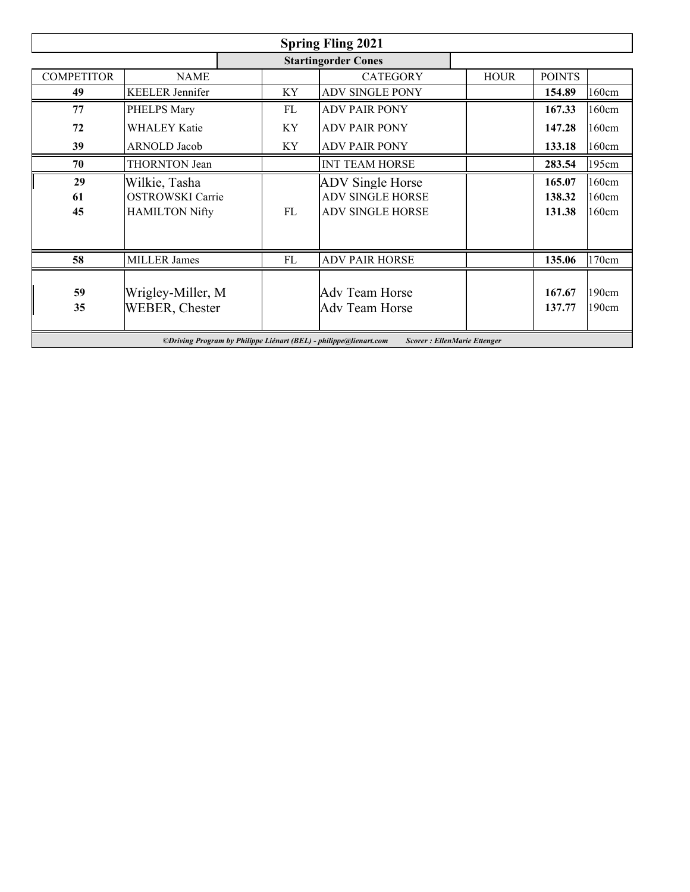| <b>Spring Fling 2021</b>                                                                                 |                         |    |                         |             |               |       |  |
|----------------------------------------------------------------------------------------------------------|-------------------------|----|-------------------------|-------------|---------------|-------|--|
| <b>Startingorder Cones</b>                                                                               |                         |    |                         |             |               |       |  |
| <b>COMPETITOR</b>                                                                                        | <b>NAME</b>             |    | <b>CATEGORY</b>         | <b>HOUR</b> | <b>POINTS</b> |       |  |
| 49                                                                                                       | <b>KEELER</b> Jennifer  | ΚY | <b>ADV SINGLE PONY</b>  |             | 154.89        | 160cm |  |
| 77                                                                                                       | PHELPS Mary             | FL | <b>ADV PAIR PONY</b>    |             | 167.33        | 160cm |  |
| 72                                                                                                       | <b>WHALEY Katie</b>     | KY | <b>ADV PAIR PONY</b>    |             | 147.28        | 160cm |  |
| 39                                                                                                       | <b>ARNOLD</b> Jacob     | KY | <b>ADV PAIR PONY</b>    |             | 133.18        | 160cm |  |
| 70                                                                                                       | <b>THORNTON</b> Jean    |    | <b>INT TEAM HORSE</b>   |             | 283.54        | 195cm |  |
| 29                                                                                                       | Wilkie, Tasha           |    | <b>ADV</b> Single Horse |             | 165.07        | 160cm |  |
| 61                                                                                                       | <b>OSTROWSKI</b> Carrie |    | <b>ADV SINGLE HORSE</b> |             | 138.32        | 160cm |  |
| 45                                                                                                       | <b>HAMILTON Nifty</b>   | FL | <b>ADV SINGLE HORSE</b> |             | 131.38        | 160cm |  |
|                                                                                                          |                         |    |                         |             |               |       |  |
|                                                                                                          |                         |    |                         |             |               |       |  |
| 58                                                                                                       | <b>MILLER James</b>     | FL | <b>ADV PAIR HORSE</b>   |             | 135.06        | 170cm |  |
|                                                                                                          |                         |    |                         |             |               |       |  |
| 59                                                                                                       | Wrigley-Miller, M       |    | Adv Team Horse          |             | 167.67        | 190cm |  |
| 35                                                                                                       | <b>WEBER, Chester</b>   |    | Adv Team Horse          |             | 137.77        | 190cm |  |
|                                                                                                          |                         |    |                         |             |               |       |  |
| ©Driving Program by Philippe Liénart (BEL) - philippe@lienart.com<br><b>Scorer</b> : EllenMarie Ettenger |                         |    |                         |             |               |       |  |